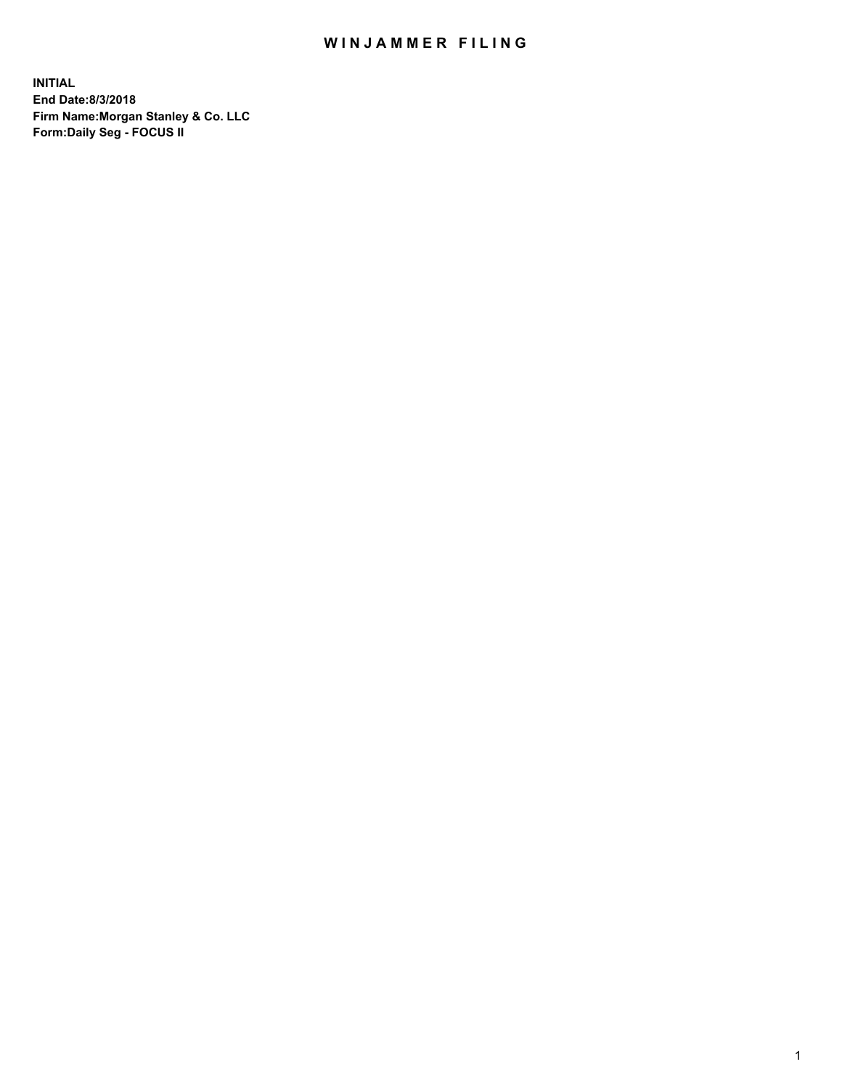## WIN JAMMER FILING

**INITIAL End Date:8/3/2018 Firm Name:Morgan Stanley & Co. LLC Form:Daily Seg - FOCUS II**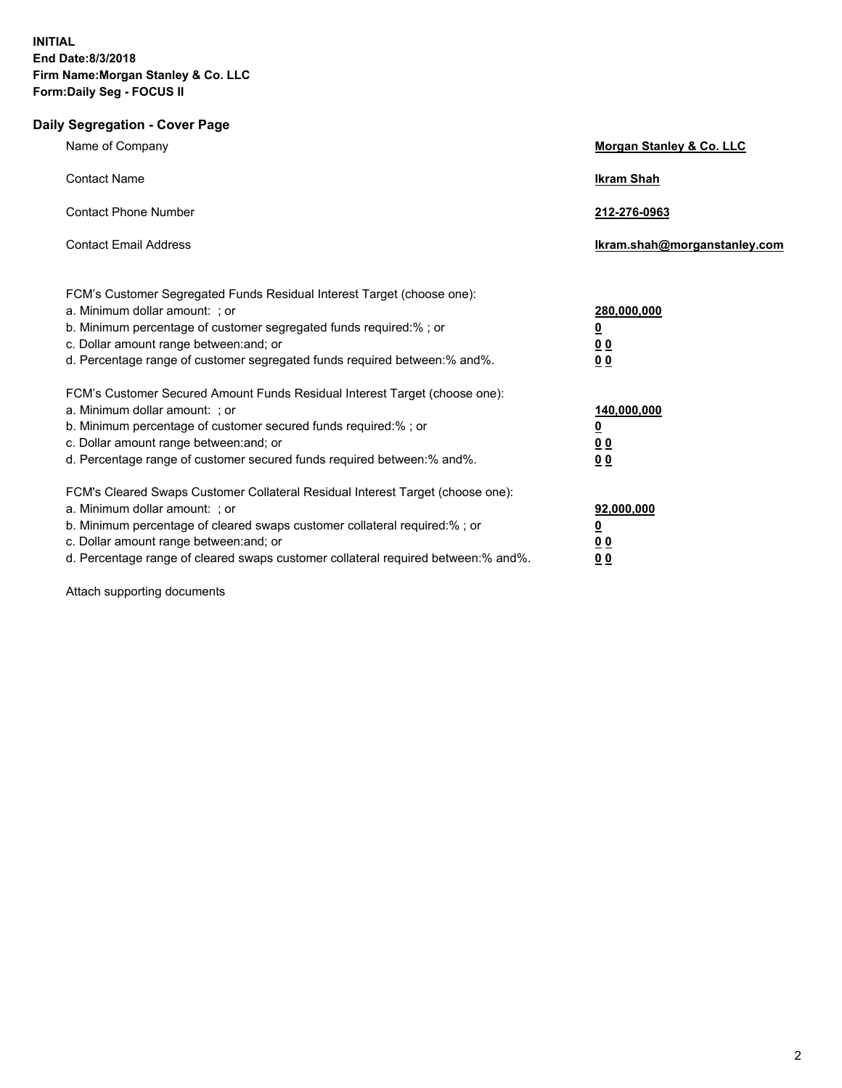## **Daily Segregation - Cover Page**

| Name of Company                                                                                                                                                                                                                                                                                                                  | <b>Morgan Stanley &amp; Co. LLC</b>                                        |
|----------------------------------------------------------------------------------------------------------------------------------------------------------------------------------------------------------------------------------------------------------------------------------------------------------------------------------|----------------------------------------------------------------------------|
| <b>Contact Name</b>                                                                                                                                                                                                                                                                                                              | <b>Ikram Shah</b>                                                          |
| <b>Contact Phone Number</b>                                                                                                                                                                                                                                                                                                      | 212-276-0963                                                               |
| <b>Contact Email Address</b>                                                                                                                                                                                                                                                                                                     | Ikram.shah@morganstanley.com                                               |
| FCM's Customer Segregated Funds Residual Interest Target (choose one):<br>a. Minimum dollar amount: : or<br>b. Minimum percentage of customer segregated funds required:% ; or<br>c. Dollar amount range between: and; or<br>d. Percentage range of customer segregated funds required between: % and %.                         | 280,000,000<br>$\overline{\mathbf{0}}$<br>0 <sub>0</sub><br>0 <sub>0</sub> |
| FCM's Customer Secured Amount Funds Residual Interest Target (choose one):<br>a. Minimum dollar amount: ; or<br>b. Minimum percentage of customer secured funds required:%; or<br>c. Dollar amount range between: and; or<br>d. Percentage range of customer secured funds required between:% and%.                              | 140,000,000<br>$\overline{\mathbf{0}}$<br>0 <sub>0</sub><br>0 <sub>0</sub> |
| FCM's Cleared Swaps Customer Collateral Residual Interest Target (choose one):<br>a. Minimum dollar amount: ; or<br>b. Minimum percentage of cleared swaps customer collateral required:% ; or<br>c. Dollar amount range between: and; or<br>d. Percentage range of cleared swaps customer collateral required between: % and %. | 92,000,000<br><u>0</u><br>0 <sub>0</sub><br>0 <sup>0</sup>                 |

Attach supporting documents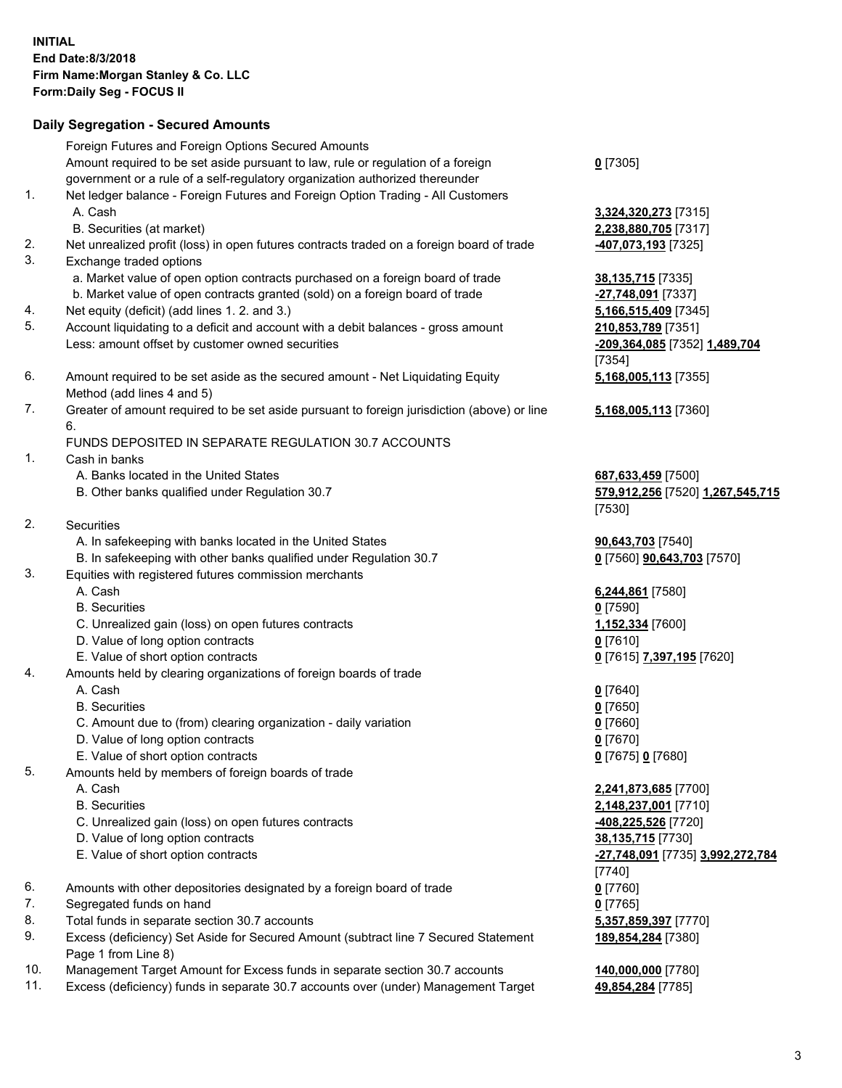## **Daily Segregation - Secured Amounts**

|     | Foreign Futures and Foreign Options Secured Amounts                                         |                                           |
|-----|---------------------------------------------------------------------------------------------|-------------------------------------------|
|     | Amount required to be set aside pursuant to law, rule or regulation of a foreign            | $0$ [7305]                                |
|     | government or a rule of a self-regulatory organization authorized thereunder                |                                           |
| 1.  | Net ledger balance - Foreign Futures and Foreign Option Trading - All Customers             |                                           |
|     | A. Cash                                                                                     | 3,324,320,273 [7315]                      |
|     | B. Securities (at market)                                                                   | 2,238,880,705 [7317]                      |
| 2.  | Net unrealized profit (loss) in open futures contracts traded on a foreign board of trade   | 407,073,193 [7325]                        |
| 3.  | Exchange traded options                                                                     |                                           |
|     | a. Market value of open option contracts purchased on a foreign board of trade              | 38, 135, 715 [7335]                       |
|     | b. Market value of open contracts granted (sold) on a foreign board of trade                | -27,748,091 [7337]                        |
| 4.  | Net equity (deficit) (add lines 1. 2. and 3.)                                               | 5,166,515,409 [7345]                      |
| 5.  | Account liquidating to a deficit and account with a debit balances - gross amount           | 210,853,789 [7351]                        |
|     | Less: amount offset by customer owned securities                                            | -209,364,085 [7352] 1,489,704<br>$[7354]$ |
| 6.  | Amount required to be set aside as the secured amount - Net Liquidating Equity              | 5,168,005,113 [7355]                      |
|     | Method (add lines 4 and 5)                                                                  |                                           |
| 7.  | Greater of amount required to be set aside pursuant to foreign jurisdiction (above) or line | 5,168,005,113 [7360]                      |
|     | 6.                                                                                          |                                           |
|     | FUNDS DEPOSITED IN SEPARATE REGULATION 30.7 ACCOUNTS                                        |                                           |
| 1.  | Cash in banks                                                                               |                                           |
|     | A. Banks located in the United States                                                       | 687,633,459 [7500]                        |
|     | B. Other banks qualified under Regulation 30.7                                              | 579,912,256 [7520] 1,267,545,715          |
|     |                                                                                             | [7530]                                    |
| 2.  | Securities                                                                                  |                                           |
|     | A. In safekeeping with banks located in the United States                                   | 90,643,703 [7540]                         |
|     | B. In safekeeping with other banks qualified under Regulation 30.7                          | 0 [7560] <b>90,643,703</b> [7570]         |
| 3.  | Equities with registered futures commission merchants                                       |                                           |
|     | A. Cash                                                                                     | 6,244,861 [7580]                          |
|     | <b>B.</b> Securities                                                                        | $0$ [7590]                                |
|     | C. Unrealized gain (loss) on open futures contracts                                         | 1,152,334 [7600]                          |
|     | D. Value of long option contracts                                                           | $0$ [7610]                                |
|     | E. Value of short option contracts                                                          | 0 [7615] 7,397,195 [7620]                 |
| 4.  | Amounts held by clearing organizations of foreign boards of trade                           |                                           |
|     | A. Cash                                                                                     | $0$ [7640]                                |
|     | <b>B.</b> Securities                                                                        | $0$ [7650]                                |
|     | C. Amount due to (from) clearing organization - daily variation                             | $0$ [7660]                                |
|     | D. Value of long option contracts                                                           | $0$ [7670]                                |
| 5.  | E. Value of short option contracts<br>Amounts held by members of foreign boards of trade    | 0 [7675] 0 [7680]                         |
|     | A. Cash                                                                                     | 2,241,873,685 [7700]                      |
|     | <b>B.</b> Securities                                                                        | 2,148,237,001 [7710]                      |
|     | C. Unrealized gain (loss) on open futures contracts                                         | <u>-408,225,526</u> [7720]                |
|     | D. Value of long option contracts                                                           | 38,135,715 [7730]                         |
|     | E. Value of short option contracts                                                          | -27,748,091 [7735] 3,992,272,784          |
|     |                                                                                             |                                           |
| 6.  | Amounts with other depositories designated by a foreign board of trade                      | $[7740]$<br>$0$ [7760]                    |
| 7.  | Segregated funds on hand                                                                    | $0$ [7765]                                |
| 8.  | Total funds in separate section 30.7 accounts                                               | 5,357,859,397 [7770]                      |
| 9.  | Excess (deficiency) Set Aside for Secured Amount (subtract line 7 Secured Statement         | 189,854,284 [7380]                        |
|     | Page 1 from Line 8)                                                                         |                                           |
| 10. | Management Target Amount for Excess funds in separate section 30.7 accounts                 | 140,000,000 [7780]                        |
| 11. | Excess (deficiency) funds in separate 30.7 accounts over (under) Management Target          | 49,854,284 [7785]                         |
|     |                                                                                             |                                           |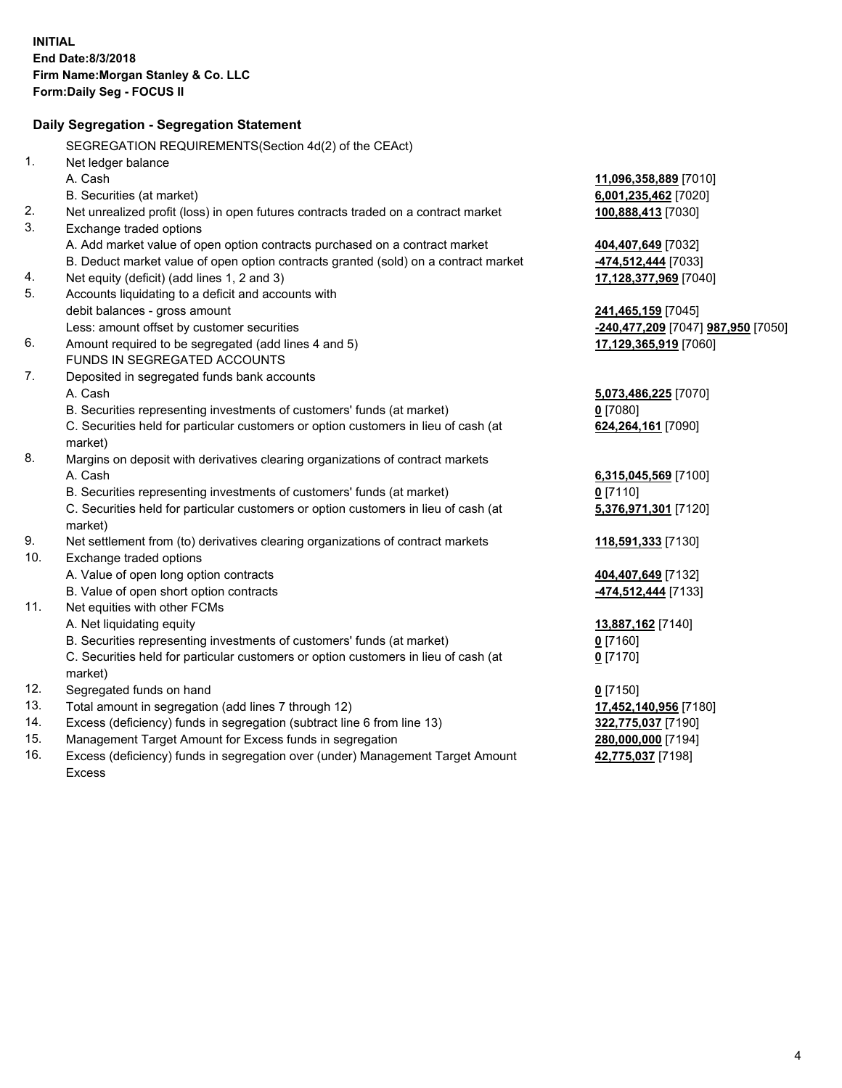|     | Daily Segregation - Segregation Statement                                           |                                    |
|-----|-------------------------------------------------------------------------------------|------------------------------------|
|     | SEGREGATION REQUIREMENTS(Section 4d(2) of the CEAct)                                |                                    |
| 1.  | Net ledger balance                                                                  |                                    |
|     | A. Cash                                                                             | 11,096,358,889 [7010]              |
|     | B. Securities (at market)                                                           | 6,001,235,462 [7020]               |
| 2.  | Net unrealized profit (loss) in open futures contracts traded on a contract market  | 100,888,413 [7030]                 |
| 3.  | Exchange traded options                                                             |                                    |
|     | A. Add market value of open option contracts purchased on a contract market         | 404,407,649 [7032]                 |
|     | B. Deduct market value of open option contracts granted (sold) on a contract market | 474,512,444 [7033]                 |
| 4.  | Net equity (deficit) (add lines 1, 2 and 3)                                         | 17,128,377,969 [7040]              |
| 5.  | Accounts liquidating to a deficit and accounts with                                 |                                    |
|     | debit balances - gross amount                                                       | 241,465,159 [7045]                 |
|     | Less: amount offset by customer securities                                          | -240,477,209 [7047] 987,950 [7050] |
| 6.  | Amount required to be segregated (add lines 4 and 5)                                | 17,129,365,919 [7060]              |
|     | FUNDS IN SEGREGATED ACCOUNTS                                                        |                                    |
| 7.  | Deposited in segregated funds bank accounts                                         |                                    |
|     | A. Cash                                                                             | 5,073,486,225 [7070]               |
|     | B. Securities representing investments of customers' funds (at market)              | $0$ [7080]                         |
|     | C. Securities held for particular customers or option customers in lieu of cash (at | 624,264,161 [7090]                 |
|     | market)                                                                             |                                    |
| 8.  | Margins on deposit with derivatives clearing organizations of contract markets      |                                    |
|     | A. Cash                                                                             | 6,315,045,569 [7100]               |
|     | B. Securities representing investments of customers' funds (at market)              | $0$ [7110]                         |
|     | C. Securities held for particular customers or option customers in lieu of cash (at | 5,376,971,301 [7120]               |
|     | market)                                                                             |                                    |
| 9.  | Net settlement from (to) derivatives clearing organizations of contract markets     | 118,591,333 [7130]                 |
| 10. | Exchange traded options                                                             |                                    |
|     | A. Value of open long option contracts                                              | 404,407,649 [7132]                 |
|     | B. Value of open short option contracts                                             | -474,512,444 [7133]                |
| 11. | Net equities with other FCMs                                                        |                                    |
|     | A. Net liquidating equity                                                           | 13,887,162 [7140]                  |
|     | B. Securities representing investments of customers' funds (at market)              | $0$ [7160]                         |
|     | C. Securities held for particular customers or option customers in lieu of cash (at | $0$ [7170]                         |
|     | market)                                                                             |                                    |
| 12. | Segregated funds on hand                                                            | <u>0</u> [7150]                    |
| 13. | Total amount in segregation (add lines 7 through 12)                                | 17,452,140,956 [7180]              |
| 14. | Excess (deficiency) funds in segregation (subtract line 6 from line 13)             | 322,775,037 [7190]                 |
| 15. | Management Target Amount for Excess funds in segregation                            | 280,000,000 [7194]                 |
| 16. | Excess (deficiency) funds in segregation over (under) Management Target Amount      | 42,775,037 [7198]                  |
|     | <b>Excess</b>                                                                       |                                    |